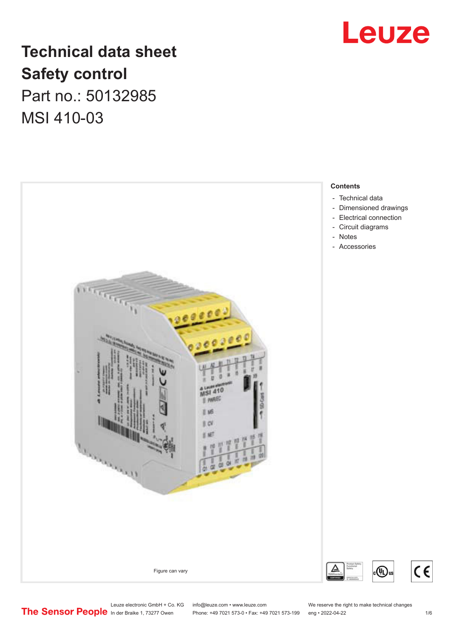

# **Technical data sheet Safety control** Part no.: 50132985 MSI 410-03

 - - - Notes  $00000$ E ME EO Borrow of Figure can vary

### **Contents**

- [Technical data](#page-1-0)
- [Dimensioned drawings](#page-2-0)
- [Electrical connection](#page-2-0)
- [Circuit diagrams](#page-3-0)
- 
- [Accessories](#page-4-0)

Leuze electronic GmbH + Co. KG info@leuze.com • www.leuze.com We reserve the right to make technical changes<br> **The Sensor People** in der Braike 1, 73277 Owen Phone: +49 7021 573-0 • Fax: +49 7021 573-199 eng • 2022-04-22

Phone: +49 7021 573-0 • Fax: +49 7021 573-199 eng • 2022-04-22 1 1 16

 $(\mathbb{q})$ us

 $c \in$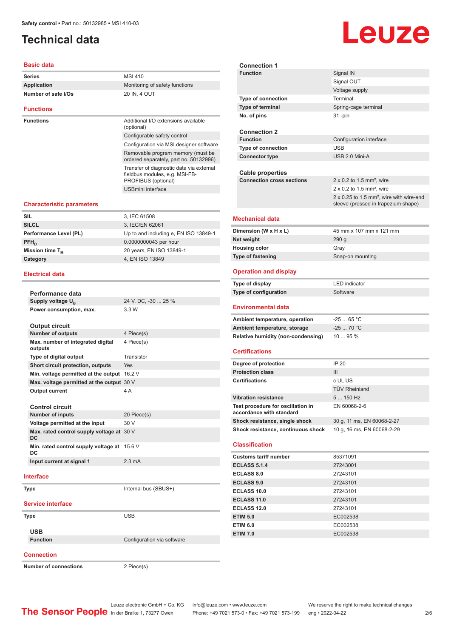## <span id="page-1-0"></span>**Technical data**

### **Basic data**

| <b>Series</b>       | MSI 410                        |
|---------------------|--------------------------------|
| Application         | Monitoring of safety functions |
| Number of safe I/Os | 20 IN, 4 OUT                   |
|                     |                                |
| <b>Eunctions</b>    |                                |

**Functions Functions Additional I/O extensions available** (optional) Configurable safety control Configuration via MSI.design Removable program memory ordered separately, part no. Transfer of diagnostic data vi fieldbus modules, e.g. MSI-F PROFIBUS (optional) USBmini interface

### **Characteristic parameters**

| <b>SIL</b>             | 3, IEC 61508                          |
|------------------------|---------------------------------------|
|                        |                                       |
| <b>SILCL</b>           | 3, IEC/EN 62061                       |
| Performance Level (PL) | Up to and including e, EN ISO 13849-1 |
| $PFH_n$                | 0.0000000043 per hour                 |
| Mission time $T_{M}$   | 20 years, EN ISO 13849-1              |
| Category               | 4, EN ISO 13849                       |
|                        |                                       |

### **Electrical data**

| Performance data                                |                            |
|-------------------------------------------------|----------------------------|
| Supply voltage U <sub>B</sub>                   | 24 V, DC, -30  25 %        |
| Power consumption, max.                         | 3.3 W                      |
| <b>Output circuit</b>                           |                            |
| <b>Number of outputs</b>                        | 4 Piece(s)                 |
| Max. number of integrated digital<br>outputs    | 4 Piece(s)                 |
| Type of digital output                          | Transistor                 |
| Short circuit protection, outputs               | Yes                        |
| Min. voltage permitted at the output 16.2 V     |                            |
| Max. voltage permitted at the output 30 V       |                            |
| <b>Output current</b>                           | 4 A                        |
| Control circuit                                 |                            |
| <b>Number of inputs</b>                         | 20 Piece(s)                |
| Voltage permitted at the input                  | 30V                        |
| Max. rated control supply voltage at 30 V<br>DC |                            |
| Min. rated control supply voltage at<br>DC      | 15.6 V                     |
| Input current at signal 1                       | $2.3 \text{ mA}$           |
| Interface                                       |                            |
| Type                                            | Internal bus (SBUS+)       |
|                                                 |                            |
| <b>Service interface</b>                        |                            |
| Type                                            | <b>USB</b>                 |
| <b>USB</b>                                      |                            |
| <b>Function</b>                                 | Configuration via software |
|                                                 |                            |
| <b>Connection</b>                               |                            |

|                         | <b>Type of connection</b>        | Terminal                                                                                           |
|-------------------------|----------------------------------|----------------------------------------------------------------------------------------------------|
|                         | Type of terminal                 | Spring-cage terminal                                                                               |
|                         | No. of pins                      | $31 - pin$                                                                                         |
| ailable                 |                                  |                                                                                                    |
|                         | <b>Connection 2</b>              |                                                                                                    |
|                         | <b>Function</b>                  | Configuration interface                                                                            |
| er software             | <b>Type of connection</b>        | <b>USB</b>                                                                                         |
| / (must be<br>50132996) | <b>Connector type</b>            | USB 2.0 Mini-A                                                                                     |
| ia external<br>B-       | Cable properties                 |                                                                                                    |
|                         | <b>Connection cross sections</b> | $2 \times 0.2$ to 1.5 mm <sup>2</sup> , wire                                                       |
|                         |                                  | $2 \times 0.2$ to 1.5 mm <sup>2</sup> , wire                                                       |
|                         |                                  | $2 \times 0.25$ to 1.5 mm <sup>2</sup> , wire with wire-end<br>sleeve (pressed in trapezium shape) |
|                         |                                  |                                                                                                    |
|                         | <b>Mechanical data</b>           |                                                                                                    |
| O 13849-1               | Dimension (W x H x L)            | 45 mm x 107 mm x 121 mm                                                                            |
|                         | Net weight                       | 290 <sub>g</sub>                                                                                   |
|                         | <b>Housing color</b>             | Gray                                                                                               |

**Connection 1**

### **Operation and display**

| Type of display       | LED indicator |
|-----------------------|---------------|
| Type of configuration | Software      |

**Type of fastening** Snap-on mounting

### **Environmental data**

| Ambient temperature, operation     | -25  65 °C |
|------------------------------------|------------|
| Ambient temperature, storage       | $-2570 °C$ |
| Relative humidity (non-condensing) | 1095%      |

### **Certifications**

| Degree of protection                                          | IP 20                      |
|---------------------------------------------------------------|----------------------------|
| <b>Protection class</b>                                       | Ш                          |
| <b>Certifications</b>                                         | c UL US                    |
|                                                               | <b>TÜV Rheinland</b>       |
| <b>Vibration resistance</b>                                   | $5150$ Hz                  |
| Test procedure for oscillation in<br>accordance with standard | EN 60068-2-6               |
| Shock resistance, single shock                                | 30 g, 11 ms, EN 60068-2-27 |
| Shock resistance, continuous shock                            | 10 g, 16 ms, EN 60068-2-29 |

### **Classification**

| <b>Customs tariff number</b> | 85371091 |
|------------------------------|----------|
| <b>ECLASS 5.1.4</b>          | 27243001 |
| <b>ECLASS 8.0</b>            | 27243101 |
| <b>ECLASS 9.0</b>            | 27243101 |
| ECLASS 10.0                  | 27243101 |
| <b>ECLASS 11.0</b>           | 27243101 |
| ECLASS 12.0                  | 27243101 |
| <b>ETIM 5.0</b>              | EC002538 |
| <b>ETIM 6.0</b>              | EC002538 |
| <b>ETIM 7.0</b>              | EC002538 |

**Number of connections** 2 Piece(s)

Phone: +49 7021 573-0 • Fax: +49 7021 573-199 eng • 2022-04-22 2 2 /6

# Leuze

**Signal IN** Signal OUT Voltage supply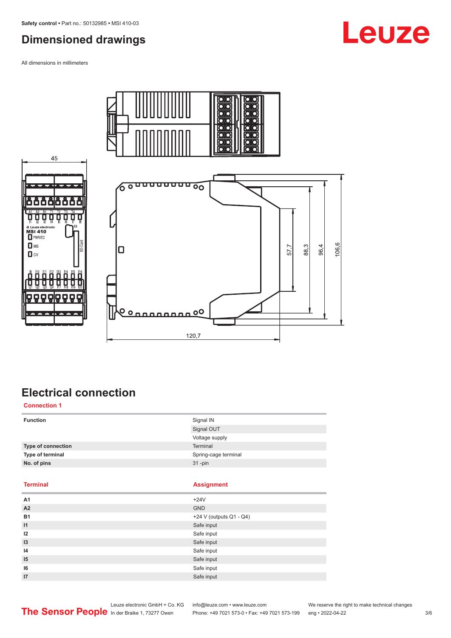# <span id="page-2-0"></span>**Dimensioned drawings**

All dimensions in millimeters









# **Electrical connection**

**Connection 1**

| <b>Function</b>    | Signal IN            |
|--------------------|----------------------|
|                    | Signal OUT           |
|                    | Voltage supply       |
| Type of connection | Terminal             |
| Type of terminal   | Spring-cage terminal |
| No. of pins        | $31$ -pin            |
|                    |                      |

### **Terminal Assignment**

| Α1              | $+24V$                  |
|-----------------|-------------------------|
| A2              | <b>GND</b>              |
| <b>B1</b>       | +24 V (outputs Q1 - Q4) |
| $\overline{11}$ | Safe input              |
| 12              | Safe input              |
| 13              | Safe input              |
| 14              | Safe input              |
| 15              | Safe input              |
| 16              | Safe input              |
| 17              | Safe input              |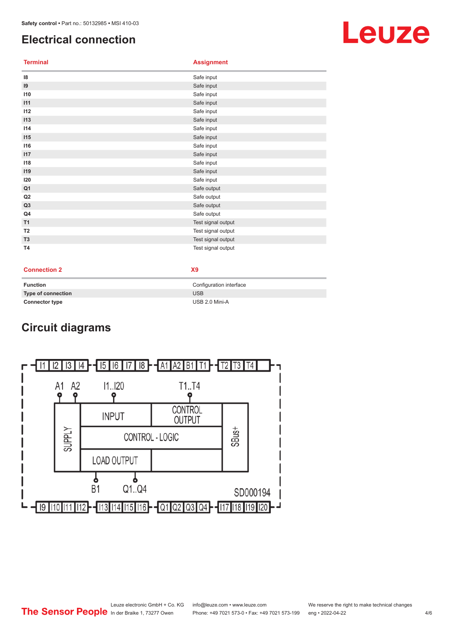# <span id="page-3-0"></span>**Electrical connection**

**Terminal Assignment**

| 8              | Safe input         |
|----------------|--------------------|
| 9              | Safe input         |
| 110            | Safe input         |
| 111            | Safe input         |
| 112            | Safe input         |
| 113            | Safe input         |
| 114            | Safe input         |
| 115            | Safe input         |
| 116            | Safe input         |
| 117            | Safe input         |
| 118            | Safe input         |
| 119            | Safe input         |
| 120            | Safe input         |
| Q <sub>1</sub> | Safe output        |
| Q2             | Safe output        |
| Q3             | Safe output        |
| Q4             | Safe output        |
| T1             | Test signal output |
| T <sub>2</sub> | Test signal output |
| T <sub>3</sub> | Test signal output |
| <b>T4</b>      | Test signal output |

**Connection 2 X9**

| Function              | Configuration interface |
|-----------------------|-------------------------|
| Type of connection    | <b>USB</b>              |
| <b>Connector type</b> | USB 2.0 Mini-A          |

# **Circuit diagrams**



# Leuze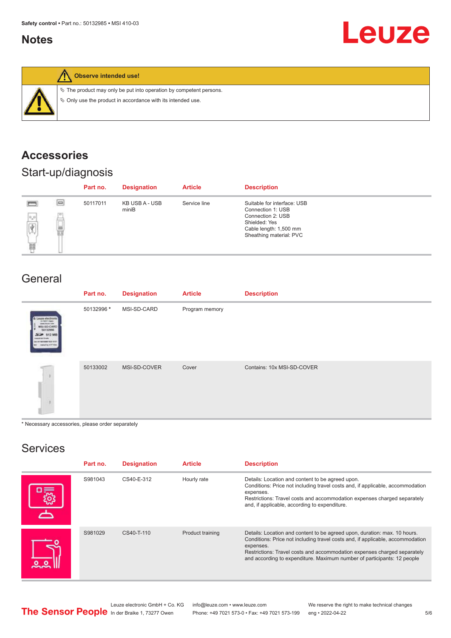### <span id="page-4-0"></span>**Notes**





**Observe intended use!**

 $\%$  The product may only be put into operation by competent persons.

 $\ddot{\phi}$  Only use the product in accordance with its intended use.

# **Accessories**

# Start-up/diagnosis

|                                                                                  |          | Part no. | <b>Designation</b>      | <b>Article</b> | <b>Description</b>                                                                                                                          |
|----------------------------------------------------------------------------------|----------|----------|-------------------------|----------------|---------------------------------------------------------------------------------------------------------------------------------------------|
| <b>Press</b><br>$\frac{1}{\left \displaystyle\oint\limits_{\Omega}}\right $<br>畺 | $\equiv$ | 50117011 | KB USB A - USB<br>miniB | Service line   | Suitable for interface: USB<br>Connection 1: USB<br>Connection 2: USB<br>Shielded: Yes<br>Cable length: 1,500 mm<br>Sheathing material: PVC |

### General

|                                                                                                     | Part no.   | <b>Designation</b> | <b>Article</b> | <b>Description</b>         |
|-----------------------------------------------------------------------------------------------------|------------|--------------------|----------------|----------------------------|
| & Louze electronic<br>pone leure live<br>MSI-SO-CAR<br>10132994<br>SEP 512 MB<br>manufike ATP Elect | 50132996 * | MSI-SD-CARD        | Program memory |                            |
|                                                                                                     | 50133002   | MSI-SD-COVER       | Cover          | Contains: 10x MSI-SD-COVER |

\* Necessary accessories, please order separately

# Services

| Part no. | <b>Designation</b> | <b>Article</b>   | <b>Description</b>                                                                                                                                                                                                                                                                                                              |
|----------|--------------------|------------------|---------------------------------------------------------------------------------------------------------------------------------------------------------------------------------------------------------------------------------------------------------------------------------------------------------------------------------|
| S981043  | CS40-E-312         | Hourly rate      | Details: Location and content to be agreed upon.<br>Conditions: Price not including travel costs and, if applicable, accommodation<br>expenses.<br>Restrictions: Travel costs and accommodation expenses charged separately<br>and, if applicable, according to expenditure.                                                    |
| S981029  | CS40-T-110         | Product training | Details: Location and content to be agreed upon, duration: max. 10 hours.<br>Conditions: Price not including travel costs and, if applicable, accommodation<br>expenses.<br>Restrictions: Travel costs and accommodation expenses charged separately<br>and according to expenditure. Maximum number of participants: 12 people |